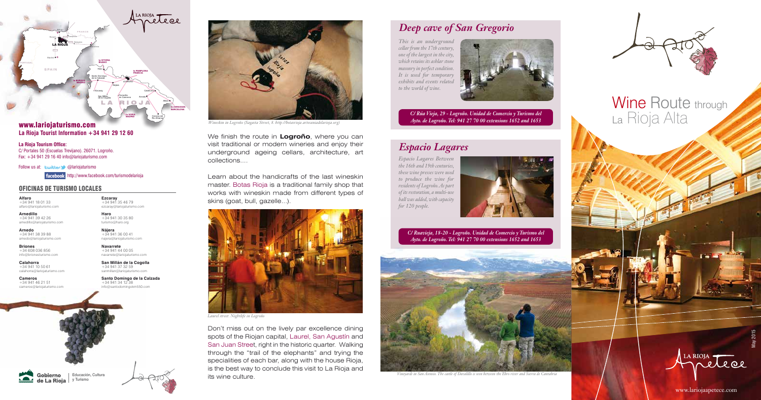



Learn about the handicrafts of the last wineskin master. Botas Rioja is a traditional family shop that works with wineskin made from different types of skins (goat, bull, gazelle...).

We finish the route in **Logroño**, where you can visit traditional or modern wineries and enjoy their underground ageing cellars, architecture, art collections....

# Wine Route through La Rioja Alta

Don't miss out on the lively par excellence dining spots of the Riojan capital, Laurel, San Agustín and San Juan Street, right in the historic quarter. Walking through the "trail of the elephants" and trying the specialities of each bar, along with the house Rioja, is the best way to conclude this visit to La Rioja and its wine culture.



*Wineskin in Logroño (Sagasta Street, 8. http://botasrioja.artesaniadelarioja.org)*

**Haro** +34 941 30 35 80 turismo@haro.org **Nájera** +34 941 36 00 41 najera@lariojaturismo.com **Navarrete** +34 941 44 00 05 navarrete@lariojaturismo.com **San Millán de la Cogolla** +34 941 37 32 59



*Laurel street. Nightlife in Logroño*

## *Deep cave of San Gregorio*

*This is an underground cellar from the 17th century, one of the largest in the city, which retains its ashlar stone masonry in perfect condition. It is used for temporary exhibits and events related to the world of wine.* 





*C/ Rúa Vieja, 29 - Logroño. Unidad de Comercio y Turismo del Ayto. de Logroño. Tel: 941 27 70 00 extensions 1652 and 1653*

## *Espacio Lagares*

*Espacio Lagares Between the 16th and 19th centuries, these wine presses were used to produce the wine for residents of Logroño. As part of its restoration, a multi-use hall was added, with capacity for 120 people.* 



*C/ Ruavieja, 18-20 - Logroño. Unidad de Comercio y Turismo del Ayto. de Logroño. Tel: 941 27 70 00 extensions 1652 and 1653*

www.lariojaapetece.com

**Alfaro** +34 941 18 01 33 alfaro@lariojaturismo.com

**Arnedillo** +34 941 39 42 26

arnedillo@lariojaturismo.com

**Arnedo** +34 941 38 39 88 arnedo@lariojaturismo.com

**Briones** +34 608 036 856 info@brionesturismo.com

**Calahorra**  $+34.941$  10.50.61 calahorra@lariojaturismo.com

**Cameros**  $+34941462151$ cameros@lariojaturismo.com

**Ezcaray** +34 941 35 46 79 ezcaray@lariojaturismo.com

sanmillan@lariojaturismo.com **Santo Domingo de la Calzada** +34 941 34 12 38 info@santodomingokm550.com



### OFICINAS DE TURISMO LOCALES

## **La Rioja Tourist Information +34 941 29 12 60**

**La Rioja Tourism Office:** C/ Portales 50 (Escuelas Trevijano). 26071. Logroño. Fax: +34 941 29 16 40 info@lariojaturismo.com

Follow us at: Ewitter @lariojaturismo

http://www.facebook.com/turismodelarioja





*Vineyards in San Asensio. The castle of Davalillo is seen between the Ebro river and Sierra de Cantabria*